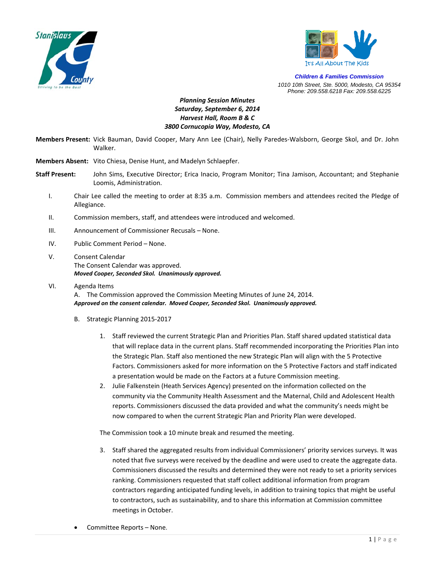



*Children & Families Commission 1010 10th Street, Ste. 5000, Modesto, CA 95354 Phone: 209.558.6218 Fax: 209.558.6225*

## *Planning Session Minutes Saturday, September 6, 2014 Harvest Hall, Room B & C 3800 Cornucopia Way, Modesto, CA*

- **Members Present:** Vick Bauman, David Cooper, Mary Ann Lee (Chair), Nelly Paredes‐Walsborn, George Skol, and Dr. John Walker.
- **Members Absent:** Vito Chiesa, Denise Hunt, and Madelyn Schlaepfer.
- **Staff Present:** John Sims, Executive Director; Erica Inacio, Program Monitor; Tina Jamison, Accountant; and Stephanie Loomis, Administration.
	- I. Chair Lee called the meeting to order at 8:35 a.m. Commission members and attendees recited the Pledge of Allegiance.
	- II. Commission members, staff, and attendees were introduced and welcomed.
	- III. Announcement of Commissioner Recusals None.
	- IV. Public Comment Period None.
	- V. Consent Calendar The Consent Calendar was approved. *Moved Cooper, Seconded Skol. Unanimously approved.*
	- VI. Agenda Items A. The Commission approved the Commission Meeting Minutes of June 24, 2014. *Approved on the consent calendar. Moved Cooper, Seconded Skol. Unanimously approved.*
		- B. Strategic Planning 2015‐2017
			- 1. Staff reviewed the current Strategic Plan and Priorities Plan. Staff shared updated statistical data that will replace data in the current plans. Staff recommended incorporating the Priorities Plan into the Strategic Plan. Staff also mentioned the new Strategic Plan will align with the 5 Protective Factors. Commissioners asked for more information on the 5 Protective Factors and staff indicated a presentation would be made on the Factors at a future Commission meeting.
			- 2. Julie Falkenstein (Heath Services Agency) presented on the information collected on the community via the Community Health Assessment and the Maternal, Child and Adolescent Health reports. Commissioners discussed the data provided and what the community's needs might be now compared to when the current Strategic Plan and Priority Plan were developed.

The Commission took a 10 minute break and resumed the meeting.

- 3. Staff shared the aggregated results from individual Commissioners' priority services surveys. It was noted that five surveys were received by the deadline and were used to create the aggregate data. Commissioners discussed the results and determined they were not ready to set a priority services ranking. Commissioners requested that staff collect additional information from program contractors regarding anticipated funding levels, in addition to training topics that might be useful to contractors, such as sustainability, and to share this information at Commission committee meetings in October.
- Committee Reports None.